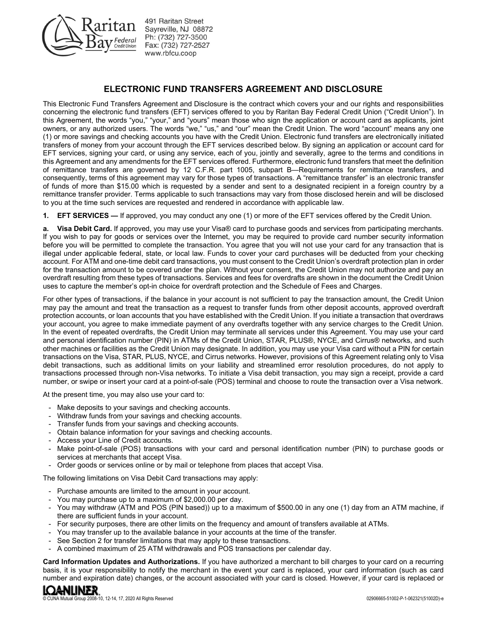

491 Raritan Street Sayreville, NJ 08872 Ph: (732) 727-3500 Fax: (732) 727-2527 www.rbfcu.coop

# **ELECTRONIC FUND TRANSFERS AGREEMENT AND DISCLOSURE**

This Electronic Fund Transfers Agreement and Disclosure is the contract which covers your and our rights and responsibilities concerning the electronic fund transfers (EFT) services offered to you by Raritan Bay Federal Credit Union ("Credit Union"). In this Agreement, the words "you," "your," and "yours" mean those who sign the application or account card as applicants, joint owners, or any authorized users. The words "we," "us," and "our" mean the Credit Union. The word "account" means any one (1) or more savings and checking accounts you have with the Credit Union. Electronic fund transfers are electronically initiated transfers of money from your account through the EFT services described below. By signing an application or account card for EFT services, signing your card, or using any service, each of you, jointly and severally, agree to the terms and conditions in this Agreement and any amendments for the EFT services offered. Furthermore, electronic fund transfers that meet the definition of remittance transfers are governed by 12 C.F.R. part 1005, subpart B—Requirements for remittance transfers, and consequently, terms of this agreement may vary for those types of transactions. A "remittance transfer" is an electronic transfer of funds of more than \$15.00 which is requested by a sender and sent to a designated recipient in a foreign country by a remittance transfer provider. Terms applicable to such transactions may vary from those disclosed herein and will be disclosed to you at the time such services are requested and rendered in accordance with applicable law.

**1. EFT SERVICES —** If approved, you may conduct any one (1) or more of the EFT services offered by the Credit Union.

**a. Visa Debit Card.** If approved, you may use your Visa® card to purchase goods and services from participating merchants. If you wish to pay for goods or services over the Internet, you may be required to provide card number security information before you will be permitted to complete the transaction. You agree that you will not use your card for any transaction that is illegal under applicable federal, state, or local law. Funds to cover your card purchases will be deducted from your checking account. For ATM and one-time debit card transactions, you must consent to the Credit Union's overdraft protection plan in order for the transaction amount to be covered under the plan. Without your consent, the Credit Union may not authorize and pay an overdraft resulting from these types of transactions. Services and fees for overdrafts are shown in the document the Credit Union uses to capture the member's opt-in choice for overdraft protection and the Schedule of Fees and Charges.

For other types of transactions, if the balance in your account is not sufficient to pay the transaction amount, the Credit Union may pay the amount and treat the transaction as a request to transfer funds from other deposit accounts, approved overdraft protection accounts, or loan accounts that you have established with the Credit Union. If you initiate a transaction that overdraws your account, you agree to make immediate payment of any overdrafts together with any service charges to the Credit Union. In the event of repeated overdrafts, the Credit Union may terminate all services under this Agreement. You may use your card and personal identification number (PIN) in ATMs of the Credit Union, STAR, PLUS®, NYCE, and Cirrus® networks, and such other machines or facilities as the Credit Union may designate. In addition, you may use your Visa card without a PIN for certain transactions on the Visa, STAR, PLUS, NYCE, and Cirrus networks. However, provisions of this Agreement relating only to Visa debit transactions, such as additional limits on your liability and streamlined error resolution procedures, do not apply to transactions processed through non-Visa networks. To initiate a Visa debit transaction, you may sign a receipt, provide a card number, or swipe or insert your card at a point-of-sale (POS) terminal and choose to route the transaction over a Visa network.

At the present time, you may also use your card to:

- Make deposits to your savings and checking accounts.
- Withdraw funds from your savings and checking accounts.
- Transfer funds from your savings and checking accounts.
- Obtain balance information for your savings and checking accounts.
- Access your Line of Credit accounts.
- Make point-of-sale (POS) transactions with your card and personal identification number (PIN) to purchase goods or services at merchants that accept Visa.
- Order goods or services online or by mail or telephone from places that accept Visa.

The following limitations on Visa Debit Card transactions may apply:

- Purchase amounts are limited to the amount in your account.
- You may purchase up to a maximum of \$2,000.00 per day.
- You may withdraw (ATM and POS (PIN based)) up to a maximum of \$500.00 in any one (1) day from an ATM machine, if there are sufficient funds in your account.
- For security purposes, there are other limits on the frequency and amount of transfers available at ATMs.
- You may transfer up to the available balance in your accounts at the time of the transfer.
- See Section 2 for transfer limitations that may apply to these transactions.
- A combined maximum of 25 ATM withdrawals and POS transactions per calendar day.

**Card Information Updates and Authorizations.** If you have authorized a merchant to bill charges to your card on a recurring basis, it is your responsibility to notify the merchant in the event your card is replaced, your card information (such as card number and expiration date) changes, or the account associated with your card is closed. However, if your card is replaced or

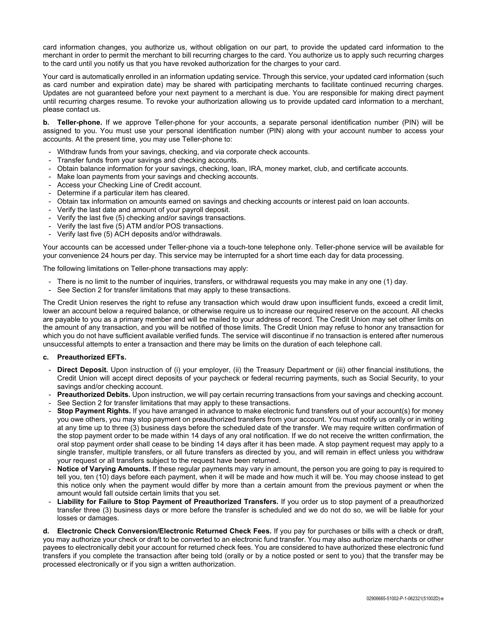card information changes, you authorize us, without obligation on our part, to provide the updated card information to the merchant in order to permit the merchant to bill recurring charges to the card. You authorize us to apply such recurring charges to the card until you notify us that you have revoked authorization for the charges to your card.

Your card is automatically enrolled in an information updating service. Through this service, your updated card information (such as card number and expiration date) may be shared with participating merchants to facilitate continued recurring charges. Updates are not guaranteed before your next payment to a merchant is due. You are responsible for making direct payment until recurring charges resume. To revoke your authorization allowing us to provide updated card information to a merchant, please contact us.

**b. Teller-phone.** If we approve Teller-phone for your accounts, a separate personal identification number (PIN) will be assigned to you. You must use your personal identification number (PIN) along with your account number to access your accounts. At the present time, you may use Teller-phone to:

- Withdraw funds from your savings, checking, and via corporate check accounts.
- Transfer funds from your savings and checking accounts.
- Obtain balance information for your savings, checking, loan, IRA, money market, club, and certificate accounts.
- Make loan payments from your savings and checking accounts.
- Access your Checking Line of Credit account.
- Determine if a particular item has cleared.
- Obtain tax information on amounts earned on savings and checking accounts or interest paid on loan accounts.
- Verify the last date and amount of your payroll deposit.
- Verify the last five (5) checking and/or savings transactions.
- Verify the last five (5) ATM and/or POS transactions.
- Verify last five (5) ACH deposits and/or withdrawals.

Your accounts can be accessed under Teller-phone via a touch-tone telephone only. Teller-phone service will be available for your convenience 24 hours per day. This service may be interrupted for a short time each day for data processing.

The following limitations on Teller-phone transactions may apply:

- There is no limit to the number of inquiries, transfers, or withdrawal requests you may make in any one (1) day.
- See Section 2 for transfer limitations that may apply to these transactions.

The Credit Union reserves the right to refuse any transaction which would draw upon insufficient funds, exceed a credit limit, lower an account below a required balance, or otherwise require us to increase our required reserve on the account. All checks are payable to you as a primary member and will be mailed to your address of record. The Credit Union may set other limits on the amount of any transaction, and you will be notified of those limits. The Credit Union may refuse to honor any transaction for which you do not have sufficient available verified funds. The service will discontinue if no transaction is entered after numerous unsuccessful attempts to enter a transaction and there may be limits on the duration of each telephone call.

### **c. Preauthorized EFTs.**

- **Direct Deposit.** Upon instruction of (i) your employer, (ii) the Treasury Department or (iii) other financial institutions, the Credit Union will accept direct deposits of your paycheck or federal recurring payments, such as Social Security, to your savings and/or checking account.
- **Preauthorized Debits.** Upon instruction, we will pay certain recurring transactions from your savings and checking account.
- See Section 2 for transfer limitations that may apply to these transactions.
- **Stop Payment Rights.** If you have arranged in advance to make electronic fund transfers out of your account(s) for money you owe others, you may stop payment on preauthorized transfers from your account. You must notify us orally or in writing at any time up to three (3) business days before the scheduled date of the transfer. We may require written confirmation of the stop payment order to be made within 14 days of any oral notification. If we do not receive the written confirmation, the oral stop payment order shall cease to be binding 14 days after it has been made. A stop payment request may apply to a single transfer, multiple transfers, or all future transfers as directed by you, and will remain in effect unless you withdraw your request or all transfers subject to the request have been returned.
- Notice of Varying Amounts. If these regular payments may vary in amount, the person you are going to pay is required to tell you, ten (10) days before each payment, when it will be made and how much it will be. You may choose instead to get this notice only when the payment would differ by more than a certain amount from the previous payment or when the amount would fall outside certain limits that you set.
- **Liability for Failure to Stop Payment of Preauthorized Transfers.** If you order us to stop payment of a preauthorized transfer three (3) business days or more before the transfer is scheduled and we do not do so, we will be liable for your losses or damages.

**d. Electronic Check Conversion/Electronic Returned Check Fees.** If you pay for purchases or bills with a check or draft, you may authorize your check or draft to be converted to an electronic fund transfer. You may also authorize merchants or other payees to electronically debit your account for returned check fees. You are considered to have authorized these electronic fund transfers if you complete the transaction after being told (orally or by a notice posted or sent to you) that the transfer may be processed electronically or if you sign a written authorization.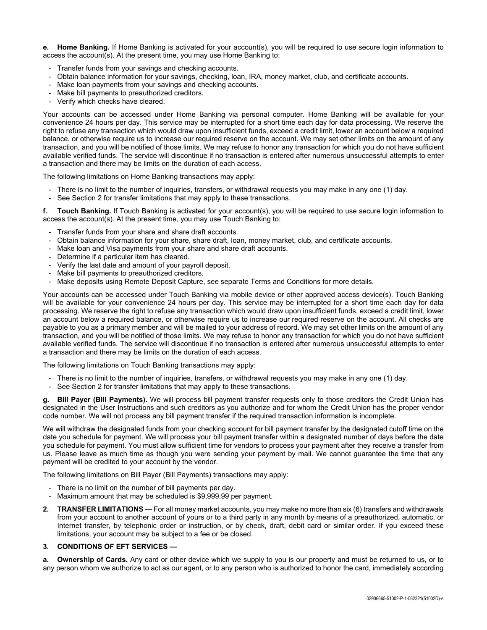**e. Home Banking.** If Home Banking is activated for your account(s), you will be required to use secure login information to access the account(s). At the present time, you may use Home Banking to:

- Transfer funds from your savings and checking accounts.
- Obtain balance information for your savings, checking, loan, IRA, money market, club, and certificate accounts.
- Make loan payments from your savings and checking accounts.
- Make bill payments to preauthorized creditors.
- Verify which checks have cleared.

Your accounts can be accessed under Home Banking via personal computer. Home Banking will be available for your convenience 24 hours per day. This service may be interrupted for a short time each day for data processing. We reserve the right to refuse any transaction which would draw upon insufficient funds, exceed a credit limit, lower an account below a required balance, or otherwise require us to increase our required reserve on the account. We may set other limits on the amount of any transaction, and you will be notified of those limits. We may refuse to honor any transaction for which you do not have sufficient available verified funds. The service will discontinue if no transaction is entered after numerous unsuccessful attempts to enter a transaction and there may be limits on the duration of each access.

The following limitations on Home Banking transactions may apply:

- There is no limit to the number of inquiries, transfers, or withdrawal requests you may make in any one (1) day.
- See Section 2 for transfer limitations that may apply to these transactions.

**f. Touch Banking.** If Touch Banking is activated for your account(s), you will be required to use secure login information to access the account(s). At the present time, you may use Touch Banking to:

- Transfer funds from your share and share draft accounts.
- Obtain balance information for your share, share draft, loan, money market, club, and certificate accounts.
- Make loan and Visa payments from your share and share draft accounts.
- Determine if a particular item has cleared.
- Verify the last date and amount of your payroll deposit.
- Make bill payments to preauthorized creditors.
- Make deposits using Remote Deposit Capture, see separate Terms and Conditions for more details.

Your accounts can be accessed under Touch Banking via mobile device or other approved access device(s). Touch Banking will be available for your convenience 24 hours per day. This service may be interrupted for a short time each day for data processing. We reserve the right to refuse any transaction which would draw upon insufficient funds, exceed a credit limit, lower an account below a required balance, or otherwise require us to increase our required reserve on the account. All checks are payable to you as a primary member and will be mailed to your address of record. We may set other limits on the amount of any transaction, and you will be notified of those limits. We may refuse to honor any transaction for which you do not have sufficient available verified funds. The service will discontinue if no transaction is entered after numerous unsuccessful attempts to enter a transaction and there may be limits on the duration of each access.

The following limitations on Touch Banking transactions may apply:

- There is no limit to the number of inquiries, transfers, or withdrawal requests you may make in any one (1) day.
- See Section 2 for transfer limitations that may apply to these transactions.

**g. Bill Payer (Bill Payments).** We will process bill payment transfer requests only to those creditors the Credit Union has designated in the User Instructions and such creditors as you authorize and for whom the Credit Union has the proper vendor code number. We will not process any bill payment transfer if the required transaction information is incomplete.

We will withdraw the designated funds from your checking account for bill payment transfer by the designated cutoff time on the date you schedule for payment. We will process your bill payment transfer within a designated number of days before the date you schedule for payment. You must allow sufficient time for vendors to process your payment after they receive a transfer from us. Please leave as much time as though you were sending your payment by mail. We cannot guarantee the time that any payment will be credited to your account by the vendor.

The following limitations on Bill Payer (Bill Payments) transactions may apply:

- There is no limit on the number of bill payments per day.
- Maximum amount that may be scheduled is \$9,999.99 per payment.
- **2. TRANSFER LIMITATIONS —** For all money market accounts, you may make no more than six (6) transfers and withdrawals from your account to another account of yours or to a third party in any month by means of a preauthorized, automatic, or Internet transfer, by telephonic order or instruction, or by check, draft, debit card or similar order. If you exceed these limitations, your account may be subject to a fee or be closed.

### **3. CONDITIONS OF EFT SERVICES —**

**a. Ownership of Cards.** Any card or other device which we supply to you is our property and must be returned to us, or to any person whom we authorize to act as our agent, or to any person who is authorized to honor the card, immediately according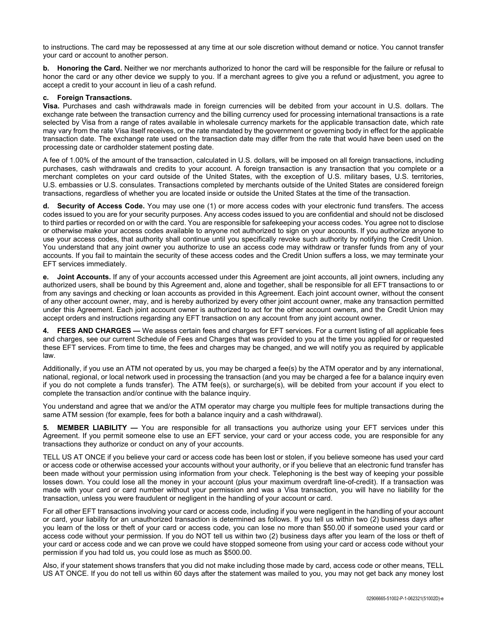to instructions. The card may be repossessed at any time at our sole discretion without demand or notice. You cannot transfer your card or account to another person.

**b. Honoring the Card.** Neither we nor merchants authorized to honor the card will be responsible for the failure or refusal to honor the card or any other device we supply to you. If a merchant agrees to give you a refund or adjustment, you agree to accept a credit to your account in lieu of a cash refund.

#### **c. Foreign Transactions.**

**Visa.** Purchases and cash withdrawals made in foreign currencies will be debited from your account in U.S. dollars. The exchange rate between the transaction currency and the billing currency used for processing international transactions is a rate selected by Visa from a range of rates available in wholesale currency markets for the applicable transaction date, which rate may vary from the rate Visa itself receives, or the rate mandated by the government or governing body in effect for the applicable transaction date. The exchange rate used on the transaction date may differ from the rate that would have been used on the processing date or cardholder statement posting date.

A fee of 1.00% of the amount of the transaction, calculated in U.S. dollars, will be imposed on all foreign transactions, including purchases, cash withdrawals and credits to your account. A foreign transaction is any transaction that you complete or a merchant completes on your card outside of the United States, with the exception of U.S. military bases, U.S. territories, U.S. embassies or U.S. consulates. Transactions completed by merchants outside of the United States are considered foreign transactions, regardless of whether you are located inside or outside the United States at the time of the transaction.

**d. Security of Access Code.** You may use one (1) or more access codes with your electronic fund transfers. The access codes issued to you are for your security purposes. Any access codes issued to you are confidential and should not be disclosed to third parties or recorded on or with the card. You are responsible for safekeeping your access codes. You agree not to disclose or otherwise make your access codes available to anyone not authorized to sign on your accounts. If you authorize anyone to use your access codes, that authority shall continue until you specifically revoke such authority by notifying the Credit Union. You understand that any joint owner you authorize to use an access code may withdraw or transfer funds from any of your accounts. If you fail to maintain the security of these access codes and the Credit Union suffers a loss, we may terminate your EFT services immediately.

**Joint Accounts.** If any of your accounts accessed under this Agreement are joint accounts, all joint owners, including any authorized users, shall be bound by this Agreement and, alone and together, shall be responsible for all EFT transactions to or from any savings and checking or loan accounts as provided in this Agreement. Each joint account owner, without the consent of any other account owner, may, and is hereby authorized by every other joint account owner, make any transaction permitted under this Agreement. Each joint account owner is authorized to act for the other account owners, and the Credit Union may accept orders and instructions regarding any EFT transaction on any account from any joint account owner.

**4. FEES AND CHARGES —** We assess certain fees and charges for EFT services. For a current listing of all applicable fees and charges, see our current Schedule of Fees and Charges that was provided to you at the time you applied for or requested these EFT services. From time to time, the fees and charges may be changed, and we will notify you as required by applicable law.

Additionally, if you use an ATM not operated by us, you may be charged a fee(s) by the ATM operator and by any international, national, regional, or local network used in processing the transaction (and you may be charged a fee for a balance inquiry even if you do not complete a funds transfer). The ATM fee(s), or surcharge(s), will be debited from your account if you elect to complete the transaction and/or continue with the balance inquiry.

You understand and agree that we and/or the ATM operator may charge you multiple fees for multiple transactions during the same ATM session (for example, fees for both a balance inquiry and a cash withdrawal).

**5. MEMBER LIABILITY —** You are responsible for all transactions you authorize using your EFT services under this Agreement. If you permit someone else to use an EFT service, your card or your access code, you are responsible for any transactions they authorize or conduct on any of your accounts.

TELL US AT ONCE if you believe your card or access code has been lost or stolen, if you believe someone has used your card or access code or otherwise accessed your accounts without your authority, or if you believe that an electronic fund transfer has been made without your permission using information from your check. Telephoning is the best way of keeping your possible losses down. You could lose all the money in your account (plus your maximum overdraft line-of-credit). If a transaction was made with your card or card number without your permission and was a Visa transaction, you will have no liability for the transaction, unless you were fraudulent or negligent in the handling of your account or card.

For all other EFT transactions involving your card or access code, including if you were negligent in the handling of your account or card, your liability for an unauthorized transaction is determined as follows. If you tell us within two (2) business days after you learn of the loss or theft of your card or access code, you can lose no more than \$50.00 if someone used your card or access code without your permission. If you do NOT tell us within two (2) business days after you learn of the loss or theft of your card or access code and we can prove we could have stopped someone from using your card or access code without your permission if you had told us, you could lose as much as \$500.00.

Also, if your statement shows transfers that you did not make including those made by card, access code or other means, TELL US AT ONCE. If you do not tell us within 60 days after the statement was mailed to you, you may not get back any money lost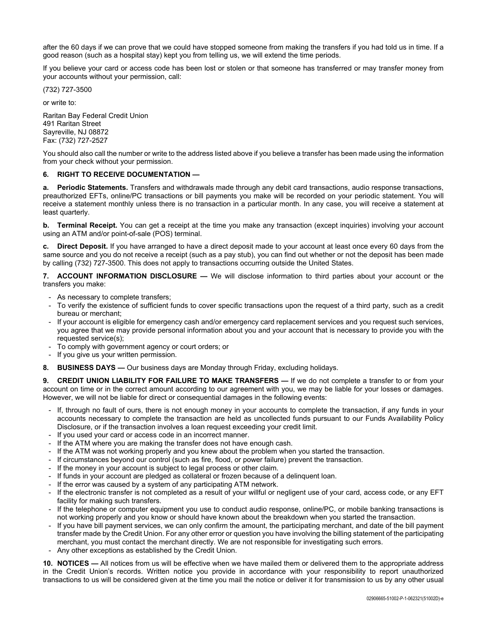after the 60 days if we can prove that we could have stopped someone from making the transfers if you had told us in time. If a good reason (such as a hospital stay) kept you from telling us, we will extend the time periods.

If you believe your card or access code has been lost or stolen or that someone has transferred or may transfer money from your accounts without your permission, call:

(732) 727-3500

or write to:

Raritan Bay Federal Credit Union 491 Raritan Street Sayreville, NJ 08872 Fax: (732) 727-2527

You should also call the number or write to the address listed above if you believe a transfer has been made using the information from your check without your permission.

## **6. RIGHT TO RECEIVE DOCUMENTATION —**

**a. Periodic Statements.** Transfers and withdrawals made through any debit card transactions, audio response transactions, preauthorized EFTs, online/PC transactions or bill payments you make will be recorded on your periodic statement. You will receive a statement monthly unless there is no transaction in a particular month. In any case, you will receive a statement at least quarterly.

**b. Terminal Receipt.** You can get a receipt at the time you make any transaction (except inquiries) involving your account using an ATM and/or point-of-sale (POS) terminal.

**c. Direct Deposit.** If you have arranged to have a direct deposit made to your account at least once every 60 days from the same source and you do not receive a receipt (such as a pay stub), you can find out whether or not the deposit has been made by calling (732) 727-3500. This does not apply to transactions occurring outside the United States.

**7. ACCOUNT INFORMATION DISCLOSURE —** We will disclose information to third parties about your account or the transfers you make:

- As necessary to complete transfers;
- To verify the existence of sufficient funds to cover specific transactions upon the request of a third party, such as a credit bureau or merchant;
- If your account is eligible for emergency cash and/or emergency card replacement services and you request such services, you agree that we may provide personal information about you and your account that is necessary to provide you with the requested service(s);
- To comply with government agency or court orders; or
- If you give us your written permission.
- **8. BUSINESS DAYS —** Our business days are Monday through Friday, excluding holidays.

**9. CREDIT UNION LIABILITY FOR FAILURE TO MAKE TRANSFERS —** If we do not complete a transfer to or from your account on time or in the correct amount according to our agreement with you, we may be liable for your losses or damages. However, we will not be liable for direct or consequential damages in the following events:

- If, through no fault of ours, there is not enough money in your accounts to complete the transaction, if any funds in your accounts necessary to complete the transaction are held as uncollected funds pursuant to our Funds Availability Policy Disclosure, or if the transaction involves a loan request exceeding your credit limit.
- If you used your card or access code in an incorrect manner.
- If the ATM where you are making the transfer does not have enough cash.
- If the ATM was not working properly and you knew about the problem when you started the transaction.
- If circumstances beyond our control (such as fire, flood, or power failure) prevent the transaction.
- If the money in your account is subject to legal process or other claim.
- If funds in your account are pledged as collateral or frozen because of a delinquent loan.
- If the error was caused by a system of any participating ATM network.
- If the electronic transfer is not completed as a result of your willful or negligent use of your card, access code, or any EFT facility for making such transfers.
- If the telephone or computer equipment you use to conduct audio response, online/PC, or mobile banking transactions is not working properly and you know or should have known about the breakdown when you started the transaction.
- If you have bill payment services, we can only confirm the amount, the participating merchant, and date of the bill payment transfer made by the Credit Union. For any other error or question you have involving the billing statement of the participating merchant, you must contact the merchant directly. We are not responsible for investigating such errors.
- Any other exceptions as established by the Credit Union.

**10. NOTICES —** All notices from us will be effective when we have mailed them or delivered them to the appropriate address in the Credit Union's records. Written notice you provide in accordance with your responsibility to report unauthorized transactions to us will be considered given at the time you mail the notice or deliver it for transmission to us by any other usual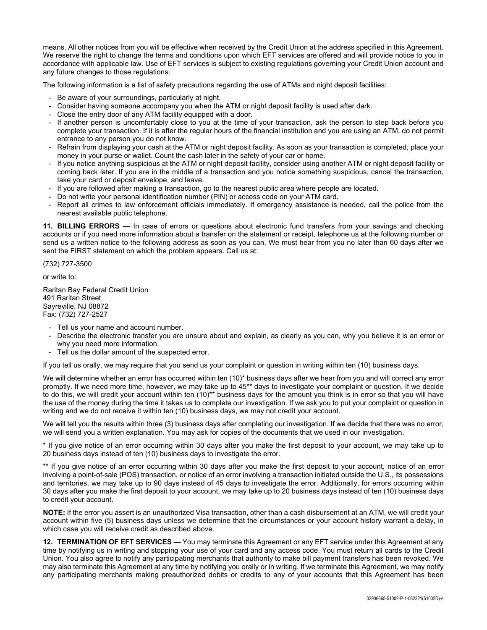means. All other notices from you will be effective when received by the Credit Union at the address specified in this Agreement. We reserve the right to change the terms and conditions upon which EFT services are offered and will provide notice to you in accordance with applicable law. Use of EFT services is subject to existing regulations governing your Credit Union account and any future changes to those regulations.

The following information is a list of safety precautions regarding the use of ATMs and night deposit facilities:

- Be aware of your surroundings, particularly at night.
- Consider having someone accompany you when the ATM or night deposit facility is used after dark.
- Close the entry door of any ATM facility equipped with a door.
- If another person is uncomfortably close to you at the time of your transaction, ask the person to step back before you complete your transaction. If it is after the regular hours of the financial institution and you are using an ATM, do not permit entrance to any person you do not know.
- Refrain from displaying your cash at the ATM or night deposit facility. As soon as your transaction is completed, place your money in your purse or wallet. Count the cash later in the safety of your car or home.
- If you notice anything suspicious at the ATM or night deposit facility, consider using another ATM or night deposit facility or coming back later. If you are in the middle of a transaction and you notice something suspicious, cancel the transaction, take your card or deposit envelope, and leave.
- If you are followed after making a transaction, go to the nearest public area where people are located.
- Do not write your personal identification number (PIN) or access code on your ATM card.
- Report all crimes to law enforcement officials immediately. If emergency assistance is needed, call the police from the nearest available public telephone.

**11. BILLING ERRORS —** In case of errors or questions about electronic fund transfers from your savings and checking accounts or if you need more information about a transfer on the statement or receipt, telephone us at the following number or send us a written notice to the following address as soon as you can. We must hear from you no later than 60 days after we sent the FIRST statement on which the problem appears. Call us at:

(732) 727-3500

or write to:

Raritan Bay Federal Credit Union 491 Raritan Street Sayreville, NJ 08872 Fax: (732) 727-2527

- Tell us your name and account number.
- Describe the electronic transfer you are unsure about and explain, as clearly as you can, why you believe it is an error or why you need more information.
- Tell us the dollar amount of the suspected error.

If you tell us orally, we may require that you send us your complaint or question in writing within ten (10) business days.

We will determine whether an error has occurred within ten (10)\* business days after we hear from you and will correct any error promptly. If we need more time, however, we may take up to 45\*\* days to investigate your complaint or question. If we decide to do this, we will credit your account within ten (10)\*\* business days for the amount you think is in error so that you will have the use of the money during the time it takes us to complete our investigation. If we ask you to put your complaint or question in writing and we do not receive it within ten (10) business days, we may not credit your account.

We will tell you the results within three (3) business days after completing our investigation. If we decide that there was no error, we will send you a written explanation. You may ask for copies of the documents that we used in our investigation.

\* If you give notice of an error occurring within 30 days after you make the first deposit to your account, we may take up to 20 business days instead of ten (10) business days to investigate the error.

\*\* If you give notice of an error occurring within 30 days after you make the first deposit to your account, notice of an error involving a point-of-sale (POS) transaction, or notice of an error involving a transaction initiated outside the U.S., its possessions and territories, we may take up to 90 days instead of 45 days to investigate the error. Additionally, for errors occurring within 30 days after you make the first deposit to your account, we may take up to 20 business days instead of ten (10) business days to credit your account.

**NOTE:** If the error you assert is an unauthorized Visa transaction, other than a cash disbursement at an ATM, we will credit your account within five (5) business days unless we determine that the circumstances or your account history warrant a delay, in which case you will receive credit as described above.

**12. TERMINATION OF EFT SERVICES —** You may terminate this Agreement or any EFT service under this Agreement at any time by notifying us in writing and stopping your use of your card and any access code. You must return all cards to the Credit Union. You also agree to notify any participating merchants that authority to make bill payment transfers has been revoked. We may also terminate this Agreement at any time by notifying you orally or in writing. If we terminate this Agreement, we may notify any participating merchants making preauthorized debits or credits to any of your accounts that this Agreement has been